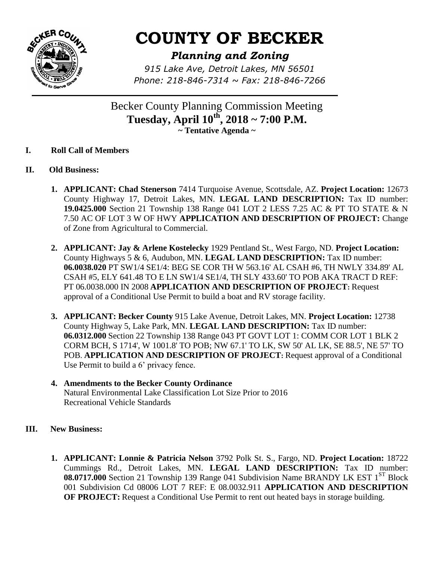

## **COUNTY OF BECKER**

*Planning and Zoning*

*915 Lake Ave, Detroit Lakes, MN 56501 Phone: 218-846-7314 ~ Fax: 218-846-7266*

Becker County Planning Commission Meeting **Tuesday, April 10 th, 2018 ~ 7:00 P.M. ~ Tentative Agenda ~**

- **I. Roll Call of Members**
- **II. Old Business:**
	- **1. APPLICANT: Chad Stenerson** 7414 Turquoise Avenue, Scottsdale, AZ. **Project Location:** 12673 County Highway 17, Detroit Lakes, MN. **LEGAL LAND DESCRIPTION:** Tax ID number: **19.0425.000** Section 21 Township 138 Range 041 LOT 2 LESS 7.25 AC & PT TO STATE & N 7.50 AC OF LOT 3 W OF HWY **APPLICATION AND DESCRIPTION OF PROJECT:** Change of Zone from Agricultural to Commercial.
	- **2. APPLICANT: Jay & Arlene Kostelecky** 1929 Pentland St., West Fargo, ND. **Project Location:**  County Highways 5 & 6, Audubon, MN. **LEGAL LAND DESCRIPTION:** Tax ID number: **06.0038.020** PT SW1/4 SE1/4: BEG SE COR TH W 563.16' AL CSAH #6, TH NWLY 334.89' AL CSAH #5, ELY 641.48 TO E LN SW1/4 SE1/4, TH SLY 433.60' TO POB AKA TRACT D REF: PT 06.0038.000 IN 2008 **APPLICATION AND DESCRIPTION OF PROJECT:** Request approval of a Conditional Use Permit to build a boat and RV storage facility.
	- **3. APPLICANT: Becker County** 915 Lake Avenue, Detroit Lakes, MN. **Project Location:** 12738 County Highway 5, Lake Park, MN. **LEGAL LAND DESCRIPTION:** Tax ID number: **06.0312.000** Section 22 Township 138 Range 043 PT GOVT LOT 1: COMM COR LOT 1 BLK 2 CORM BCH, S 1714', W 1001.8' TO POB; NW 67.1' TO LK, SW 50' AL LK, SE 88.5', NE 57' TO POB. **APPLICATION AND DESCRIPTION OF PROJECT:** Request approval of a Conditional Use Permit to build a 6' privacy fence.
	- **4. Amendments to the Becker County Ordinance** Natural Environmental Lake Classification Lot Size Prior to 2016 Recreational Vehicle Standards
- **III. New Business:**
	- **1. APPLICANT: Lonnie & Patricia Nelson** 3792 Polk St. S., Fargo, ND. **Project Location:** 18722 Cummings Rd., Detroit Lakes, MN. **LEGAL LAND DESCRIPTION:** Tax ID number: 08.0717.000 Section 21 Township 139 Range 041 Subdivision Name BRANDY LK EST 1<sup>ST</sup> Block 001 Subdivision Cd 08006 LOT 7 REF: E 08.0032.911 **APPLICATION AND DESCRIPTION OF PROJECT:** Request a Conditional Use Permit to rent out heated bays in storage building.